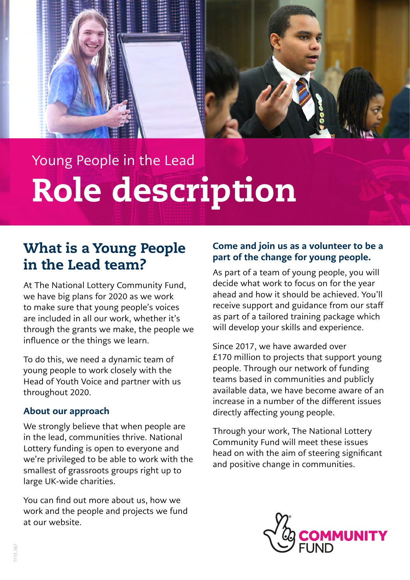

# Young People in the Lead Role description

### What is a Young People in the Lead team?

At The National Lottery Community Fund, we have big plans for 2020 as we work to make sure that young people's voices are included in all our work, whether it's through the grants we make, the people we influence or the things we learn.

To do this, we need a dynamic team of young people to work closely with the Head of Youth Voice and partner with us throughout 2020.

#### About our approach

We strongly believe that when people are in the lead, communities thrive. National Lottery funding is open to everyone and we're privileged to be able to work with the smallest of grassroots groups right up to large UK-wide charities.

You can find out more about us, how we work and the people and projects we fund at our website.

#### Come and join us as a volunteer to be a part of the change for young people.

As part of a team of young people, you will decide what work to focus on for the year ahead and how it should be achieved. You'll receive support and guidance from our staff as part of a tailored training package which will develop your skills and experience.

Since 2017, we have awarded over £170 million to projects that support young people. Through our network of funding teams based in communities and publicly available data, we have become aware of an increase in a number of the different issues directly affecting young people.

Through your work, The National Lottery Community Fund will meet these issues head on with the aim of steering significant and positive change in communities.